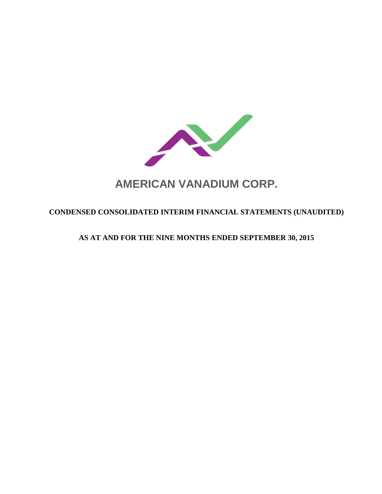

# **AMERICAN VANADIUM CORP.**

# **CONDENSED CONSOLIDATED INTERIM FINANCIAL STATEMENTS (UNAUDITED)**

# **AS AT AND FOR THE NINE MONTHS ENDED SEPTEMBER 30, 2015**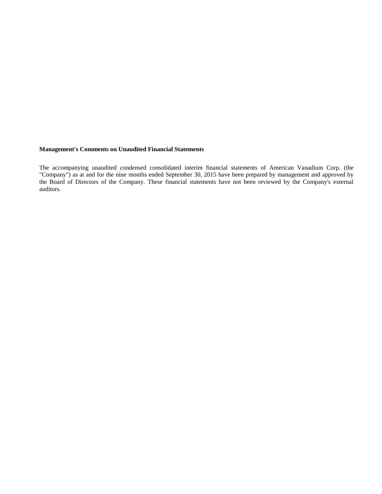#### **Management's Comments on Unaudited Financial Statements**

The accompanying unaudited condensed consolidated interim financial statements of American Vanadium Corp. (the "Company") as at and for the nine months ended September 30, 2015 have been prepared by management and approved by the Board of Directors of the Company. These financial statements have not been reviewed by the Company's external auditors.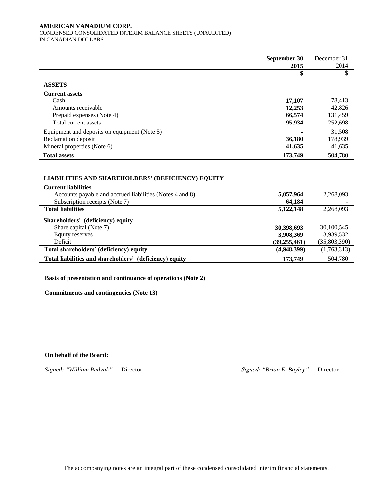#### **AMERICAN VANADIUM CORP.**  CONDENSED CONSOLIDATED INTERIM BALANCE SHEETS (UNAUDITED) IN CANADIAN DOLLARS

|                                              | September 30 | December 31 |
|----------------------------------------------|--------------|-------------|
|                                              | 2015         | 2014        |
|                                              |              |             |
| <b>ASSETS</b>                                |              |             |
| <b>Current assets</b>                        |              |             |
| Cash                                         | 17,107       | 78,413      |
| Amounts receivable                           | 12,253       | 42,826      |
| Prepaid expenses (Note 4)                    | 66,574       | 131,459     |
| Total current assets                         | 95,934       | 252,698     |
| Equipment and deposits on equipment (Note 5) |              | 31,508      |
| Reclamation deposit                          | 36,180       | 178,939     |
| Mineral properties (Note 6)                  | 41,635       | 41,635      |
| <b>Total assets</b>                          | 173,749      | 504,780     |

# **LIABILITIES AND SHAREHOLDERS' (DEFICIENCY) EQUITY LIABILITIES AND SHAREHOLDERS' EQUITY**

| <b>Current liabilities</b>                               |                |              |
|----------------------------------------------------------|----------------|--------------|
| Accounts payable and accrued liabilities (Notes 4 and 8) | 5,057,964      | 2,268,093    |
| Subscription receipts (Note 7)                           | 64.184         |              |
| <b>Total liabilities</b>                                 | 5,122,148      | 2,268,093    |
| Shareholders' (deficiency) equity                        |                |              |
| Share capital (Note 7)                                   | 30,398,693     | 30,100,545   |
| Equity reserves                                          | 3,908,369      | 3,939,532    |
| Deficit                                                  | (39, 255, 461) | (35,803,390) |
| Total shareholders' (deficiency) equity                  | (4,948,399)    | (1,763,313)  |
| Total liabilities and shareholders' (deficiency) equity  | 173,749        | 504,780      |

**Basis of presentation and continuance of operations (Note 2)**

**Commitments and contingencies (Note 13)**

#### **On behalf of the Board:**

*Signed: "William Radvak"* Director *Signed: "Brian E. Bayley"* Director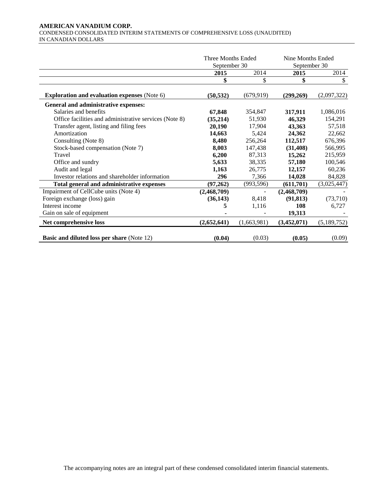#### **AMERICAN VANADIUM CORP.**  CONDENSED CONSOLIDATED INTERIM STATEMENTS OF COMPREHENSIVE LOSS (UNAUDITED) IN CANADIAN DOLLARS

|                                                        | Three Months Ended<br>September 30 |             | Nine Months Ended<br>September 30 |             |
|--------------------------------------------------------|------------------------------------|-------------|-----------------------------------|-------------|
|                                                        | 2015                               | 2014        | 2015                              | 2014        |
|                                                        | \$                                 | \$          | \$                                | \$          |
| <b>Exploration and evaluation expenses</b> (Note 6)    | (50, 532)                          | (679, 919)  | (299,269)                         | (2,097,322) |
| General and administrative expenses:                   |                                    |             |                                   |             |
| Salaries and benefits                                  | 67,848                             | 354,847     | 317,911                           | 1,086,016   |
| Office facilities and administrative services (Note 8) | (35,214)                           | 51,930      | 46,329                            | 154,291     |
| Transfer agent, listing and filing fees                | 20,190                             | 17,904      | 43,363                            | 57,518      |
| Amortization                                           | 14,663                             | 5,424       | 24,362                            | 22,662      |
| Consulting (Note 8)                                    | 8,480                              | 256,264     | 112,517                           | 676,396     |
| Stock-based compensation (Note 7)                      | 8,003                              | 147,438     | (31, 408)                         | 566,995     |
| Travel                                                 | 6,200                              | 87,313      | 15,262                            | 215,959     |
| Office and sundry                                      | 5,633                              | 38,335      | 57,180                            | 100,546     |
| Audit and legal                                        | 1,163                              | 26,775      | 12,157                            | 60,236      |
| Investor relations and shareholder information         | 296                                | 7,366       | 14,028                            | 84,828      |
| Total general and administrative expenses              | (97,262)                           | (993, 596)  | (611,701)                         | (3,025,447) |
| Impairment of CellCube units (Note 4)                  | (2,468,709)                        |             | (2,468,709)                       |             |
| Foreign exchange (loss) gain                           | (36, 143)                          | 8,418       | (91, 813)                         | (73,710)    |
| Interest income                                        | 5                                  | 1,116       | 108                               | 6,727       |
| Gain on sale of equipment                              |                                    |             | 19,313                            |             |
| Net comprehensive loss                                 | (2,652,641)                        | (1,663,981) | (3,452,071)                       | (5,189,752) |
| <b>Basic and diluted loss per share (Note 12)</b>      | (0.04)                             | (0.03)      | (0.05)                            | (0.09)      |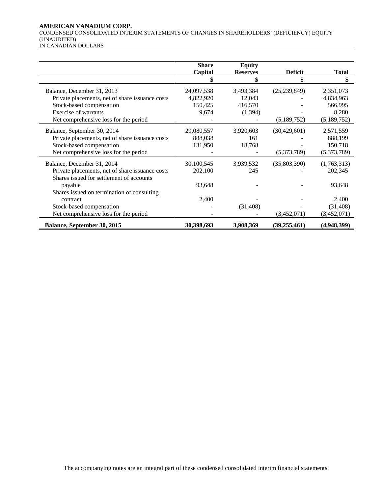#### **AMERICAN VANADIUM CORP.**

CONDENSED CONSOLIDATED INTERIM STATEMENTS OF CHANGES IN SHAREHOLDERS' (DEFICIENCY) EQUITY (UNAUDITED)

IN CANADIAN DOLLARS

|                                                 | <b>Share</b> | <b>Equity</b>   |                |              |
|-------------------------------------------------|--------------|-----------------|----------------|--------------|
|                                                 | Capital      | <b>Reserves</b> | <b>Deficit</b> | <b>Total</b> |
|                                                 |              |                 |                | \$           |
| Balance, December 31, 2013                      | 24,097,538   | 3,493,384       | (25, 239, 849) | 2,351,073    |
| Private placements, net of share issuance costs | 4,822,920    | 12,043          |                | 4,834,963    |
| Stock-based compensation                        | 150,425      | 416,570         |                | 566,995      |
| Exercise of warrants                            | 9,674        | (1, 394)        |                | 8,280        |
| Net comprehensive loss for the period           |              |                 | (5,189,752)    | (5,189,752)  |
| Balance, September 30, 2014                     | 29,080,557   | 3,920,603       | (30, 429, 601) | 2,571,559    |
| Private placements, net of share issuance costs | 888,038      | 161             |                | 888,199      |
| Stock-based compensation                        | 131,950      | 18,768          |                | 150,718      |
| Net comprehensive loss for the period           |              |                 | (5,373,789)    | (5,373,789)  |
| Balance, December 31, 2014                      | 30,100,545   | 3,939,532       | (35,803,390)   | (1,763,313)  |
| Private placements, net of share issuance costs | 202,100      | 245             |                | 202,345      |
| Shares issued for settlement of accounts        |              |                 |                |              |
| payable                                         | 93,648       |                 |                | 93,648       |
| Shares issued on termination of consulting      |              |                 |                |              |
| contract                                        | 2,400        |                 |                | 2,400        |
| Stock-based compensation                        |              | (31, 408)       |                | (31, 408)    |
| Net comprehensive loss for the period           |              |                 | (3,452,071)    | (3,452,071)  |
| Balance, September 30, 2015                     | 30,398,693   | 3,908,369       | (39,255,461)   | (4,948,399)  |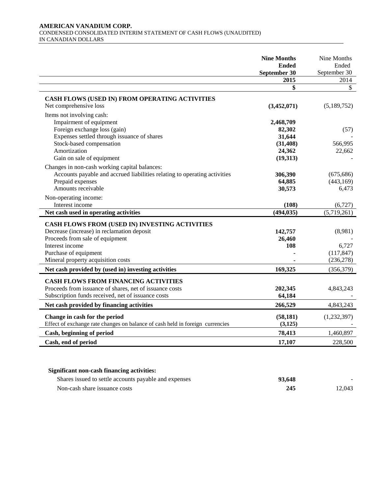#### **AMERICAN VANADIUM CORP.**  CONDENSED CONSOLIDATED INTERIM STATEMENT OF CASH FLOWS (UNAUDITED) IN CANADIAN DOLLARS

|                                                                                                                                                                                                                   | <b>Nine Months</b><br><b>Ended</b><br>September 30 | Nine Months<br>Ended<br>September 30         |
|-------------------------------------------------------------------------------------------------------------------------------------------------------------------------------------------------------------------|----------------------------------------------------|----------------------------------------------|
|                                                                                                                                                                                                                   | 2015                                               | 2014                                         |
|                                                                                                                                                                                                                   | \$                                                 | \$                                           |
| CASH FLOWS (USED IN) FROM OPERATING ACTIVITIES<br>Net comprehensive loss                                                                                                                                          | (3,452,071)                                        | (5,189,752)                                  |
| Items not involving cash:<br>Impairment of equipment<br>Foreign exchange loss (gain)                                                                                                                              | 2,468,709<br>82,302                                | (57)                                         |
| Expenses settled through issuance of shares<br>Stock-based compensation<br>Amortization<br>Gain on sale of equipment                                                                                              | 31,644<br>(31, 408)<br>24,362<br>(19,313)          | 566,995<br>22,662                            |
| Changes in non-cash working capital balances:<br>Accounts payable and accrued liabilities relating to operating activities<br>Prepaid expenses<br>Amounts receivable                                              | 306,390<br>64,885<br>30,573                        | (675, 686)<br>(443, 169)<br>6,473            |
| Non-operating income:<br>Interest income                                                                                                                                                                          | (108)                                              | (6,727)                                      |
| Net cash used in operating activities                                                                                                                                                                             | (494, 035)                                         | (5,719,261)                                  |
| CASH FLOWS FROM (USED IN) INVESTING ACTIVITIES<br>Decrease (increase) in reclamation deposit<br>Proceeds from sale of equipment<br>Interest income<br>Purchase of equipment<br>Mineral property acquisition costs | 142,757<br>26,460<br>108                           | (8,981)<br>6,727<br>(117, 847)<br>(236, 278) |
| Net cash provided by (used in) investing activities                                                                                                                                                               | 169,325                                            | (356, 379)                                   |
| <b>CASH FLOWS FROM FINANCING ACTIVITIES</b><br>Proceeds from issuance of shares, net of issuance costs<br>Subscription funds received, net of issuance costs                                                      | 202,345<br>64,184                                  | 4,843,243                                    |
| Net cash provided by financing activities                                                                                                                                                                         | 266,529                                            | 4,843,243                                    |
| Change in cash for the period<br>Effect of exchange rate changes on balance of cash held in foreign currencies                                                                                                    | (58, 181)<br>(3, 125)                              | (1,232,397)                                  |
| Cash, beginning of period                                                                                                                                                                                         | 78,413                                             | 1,460,897                                    |
| Cash, end of period                                                                                                                                                                                               | 17,107                                             | 228,500                                      |

# **Significant non-cash financing activities:**

| Shares issued to settle accounts payable and expenses | 93.648 |        |
|-------------------------------------------------------|--------|--------|
| Non-cash share issuance costs                         | 245    | 12.043 |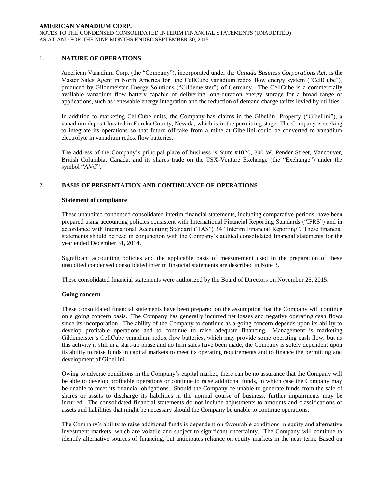# **1. NATURE OF OPERATIONS**

American Vanadium Corp. (the "Company"), incorporated under the *Canada Business Corporations Act*, is the Master Sales Agent in North America for the CellCube vanadium redox flow energy system ("CellCube"), produced by Gildemeister Energy Solutions ("Gildemeister") of Germany. The CellCube is a commercially available vanadium flow battery capable of delivering long-duration energy storage for a broad range of applications, such as renewable energy integration and the reduction of demand charge tariffs levied by utilities.

In addition to marketing CellCube units, the Company has claims in the Gibellini Property ("Gibellini"), a vanadium deposit located in Eureka County, Nevada, which is in the permitting stage. The Company is seeking to integrate its operations so that future off-take from a mine at Gibellini could be converted to vanadium electrolyte in vanadium redox flow batteries.

The address of the Company's principal place of business is Suite #1020, 800 W. Pender Street, Vancouver, British Columbia, Canada, and its shares trade on the TSX-Venture Exchange (the "Exchange") under the symbol "AVC".

# **2. BASIS OF PRESENTATION AND CONTINUANCE OF OPERATIONS**

#### **Statement of compliance**

These unaudited condensed consolidated interim financial statements, including comparative periods, have been prepared using accounting policies consistent with International Financial Reporting Standards ("IFRS") and in accordance with International Accounting Standard ("IAS") 34 "Interim Financial Reporting". These financial statements should be read in conjunction with the Company's audited consolidated financial statements for the year ended December 31, 2014.

Significant accounting policies and the applicable basis of measurement used in the preparation of these unaudited condensed consolidated interim financial statements are described in Note 3.

These consolidated financial statements were authorized by the Board of Directors on November 25, 2015.

#### **Going concern**

These consolidated financial statements have been prepared on the assumption that the Company will continue on a going concern basis. The Company has generally incurred net losses and negative operating cash flows since its incorporation. The ability of the Company to continue as a going concern depends upon its ability to develop profitable operations and to continue to raise adequate financing. Management is marketing Gildemeister's CellCube vanadium redox flow batteries, which may provide some operating cash flow, but as this activity is still in a start-up phase and no firm sales have been made, the Company is solely dependent upon its ability to raise funds in capital markets to meet its operating requirements and to finance the permitting and development of Gibellini.

Owing to adverse conditions in the Company's capital market, there can be no assurance that the Company will be able to develop profitable operations or continue to raise additional funds, in which case the Company may be unable to meet its financial obligations. Should the Company be unable to generate funds from the sale of shares or assets to discharge its liabilities in the normal course of business, further impairments may be incurred. The consolidated financial statements do not include adjustments to amounts and classifications of assets and liabilities that might be necessary should the Company be unable to continue operations.

The Company's ability to raise additional funds is dependent on favourable conditions in equity and alternative investment markets, which are volatile and subject to significant uncertainty. The Company will continue to identify alternative sources of financing, but anticipates reliance on equity markets in the near term. Based on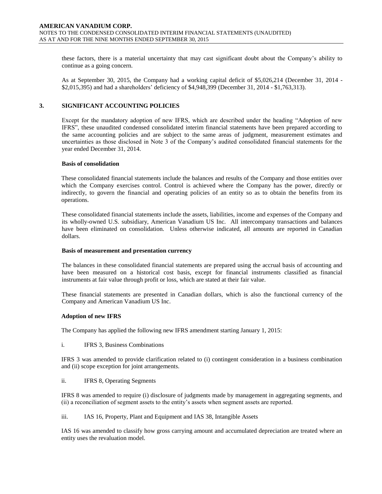these factors, there is a material uncertainty that may cast significant doubt about the Company's ability to continue as a going concern.

As at September 30, 2015, the Company had a working capital deficit of \$5,026,214 (December 31, 2014 - \$2,015,395) and had a shareholders' deficiency of \$4,948,399 (December 31, 2014 - \$1,763,313).

#### **3. SIGNIFICANT ACCOUNTING POLICIES**

Except for the mandatory adoption of new IFRS, which are described under the heading "Adoption of new IFRS", these unaudited condensed consolidated interim financial statements have been prepared according to the same accounting policies and are subject to the same areas of judgment, measurement estimates and uncertainties as those disclosed in Note 3 of the Company's audited consolidated financial statements for the year ended December 31, 2014.

#### **Basis of consolidation**

These consolidated financial statements include the balances and results of the Company and those entities over which the Company exercises control. Control is achieved where the Company has the power, directly or indirectly, to govern the financial and operating policies of an entity so as to obtain the benefits from its operations.

These consolidated financial statements include the assets, liabilities, income and expenses of the Company and its wholly-owned U.S. subsidiary, American Vanadium US Inc. All intercompany transactions and balances have been eliminated on consolidation. Unless otherwise indicated, all amounts are reported in Canadian dollars.

#### **Basis of measurement and presentation currency**

The balances in these consolidated financial statements are prepared using the accrual basis of accounting and have been measured on a historical cost basis, except for financial instruments classified as financial instruments at fair value through profit or loss, which are stated at their fair value.

These financial statements are presented in Canadian dollars, which is also the functional currency of the Company and American Vanadium US Inc.

#### **Adoption of new IFRS**

The Company has applied the following new IFRS amendment starting January 1, 2015:

i. IFRS 3, Business Combinations

IFRS 3 was amended to provide clarification related to (i) contingent consideration in a business combination and (ii) scope exception for joint arrangements.

ii. IFRS 8, Operating Segments

IFRS 8 was amended to require (i) disclosure of judgments made by management in aggregating segments, and (ii) a reconciliation of segment assets to the entity's assets when segment assets are reported.

iii. IAS 16, Property, Plant and Equipment and IAS 38, Intangible Assets

IAS 16 was amended to classify how gross carrying amount and accumulated depreciation are treated where an entity uses the revaluation model.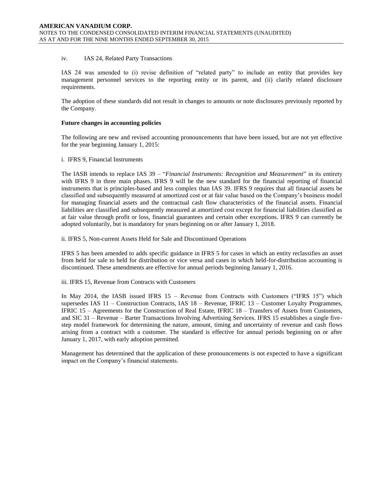#### iv. IAS 24, Related Party Transactions

IAS 24 was amended to (i) revise definition of "related party" to include an entity that provides key management personnel services to the reporting entity or its parent, and (ii) clarify related disclosure requirements.

The adoption of these standards did not result in changes to amounts or note disclosures previously reported by the Company.

#### **Future changes in accounting policies**

The following are new and revised accounting pronouncements that have been issued, but are not yet effective for the year beginning January 1, 2015:

#### i. IFRS 9, Financial Instruments

The IASB intends to replace IAS 39 – "*Financial Instruments: Recognition and Measurement*" in its entirety with IFRS 9 in three main phases. IFRS 9 will be the new standard for the financial reporting of financial instruments that is principles-based and less complex than IAS 39. IFRS 9 requires that all financial assets be classified and subsequently measured at amortized cost or at fair value based on the Company's business model for managing financial assets and the contractual cash flow characteristics of the financial assets. Financial liabilities are classified and subsequently measured at amortized cost except for financial liabilities classified as at fair value through profit or loss, financial guarantees and certain other exceptions. IFRS 9 can currently be adopted voluntarily, but is mandatory for years beginning on or after January 1, 2018.

ii. IFRS 5, Non-current Assets Held for Sale and Discontinued Operations

IFRS 5 has been amended to adds specific guidance in IFRS 5 for cases in which an entity reclassifies an asset from held for sale to held for distribution or vice versa and cases in which held-for-distribution accounting is discontinued. These amendments are effective for annual periods beginning January 1, 2016.

iii. IFRS 15, Revenue from Contracts with Customers

In May 2014, the IASB issued IFRS 15 – Revenue from Contracts with Customers ("IFRS 15") which supersedes IAS 11 – Construction Contracts, IAS 18 – Revenue, IFRIC 13 – Customer Loyalty Programmes, IFRIC 15 – Agreements for the Construction of Real Estate, IFRIC 18 – Transfers of Assets from Customers, and SIC 31 – Revenue – Barter Transactions Involving Advertising Services. IFRS 15 establishes a single fivestep model framework for determining the nature, amount, timing and uncertainty of revenue and cash flows arising from a contract with a customer. The standard is effective for annual periods beginning on or after January 1, 2017, with early adoption permitted.

Management has determined that the application of these pronouncements is not expected to have a significant impact on the Company's financial statements.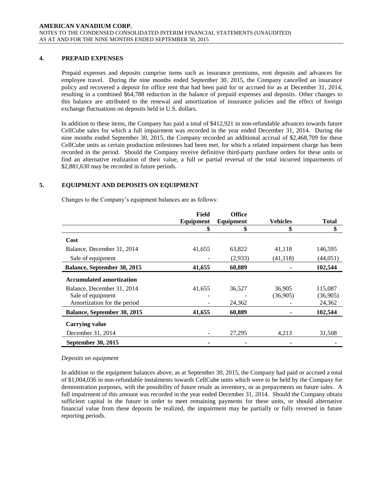## **4. PREPAID EXPENSES**

Prepaid expenses and deposits comprise items such as insurance premiums, rent deposits and advances for employee travel. During the nine months ended September 30, 2015, the Company cancelled an insurance policy and recovered a deposit for office rent that had been paid for or accrued for as at December 31, 2014, resulting in a combined \$64,788 reduction in the balance of prepaid expenses and deposits. Other changes to this balance are attributed to the renewal and amortization of insurance policies and the effect of foreign exchange fluctuations on deposits held in U.S. dollars.

In addition to these items, the Company has paid a total of \$412,921 in non-refundable advances towards future CellCube sales for which a full impairment was recorded in the year ended December 31, 2014. During the nine months ended September 30, 2015, the Company recorded an additional accrual of \$2,468,709 for these CellCube units as certain production milestones had been met, for which a related impairment charge has been recorded in the period. Should the Company receive definitive third-party purchase orders for these units or find an alternative realization of their value, a full or partial reversal of the total incurred impairments of \$2,881,630 may be recorded in future periods.

# **5. EQUIPMENT AND DEPOSITS ON EQUIPMENT**

Changes to the Company's equipment balances are as follows:

|                                 | Field     | <b>Office</b> |                 |              |
|---------------------------------|-----------|---------------|-----------------|--------------|
|                                 | Equipment | Equipment     | <b>Vehicles</b> | <b>Total</b> |
|                                 | \$        | \$            | \$              | \$           |
| Cost                            |           |               |                 |              |
| Balance, December 31, 2014      | 41,655    | 63,822        | 41,118          | 146,595      |
| Sale of equipment               |           | (2,933)       | (41, 118)       | (44,051)     |
| Balance, September 30, 2015     | 41,655    | 60,889        |                 | 102,544      |
| <b>Accumulated amortization</b> |           |               |                 |              |
| Balance, December 31, 2014      | 41,655    | 36,527        | 36,905          | 115,087      |
| Sale of equipment               |           |               | (36,905)        | (36,905)     |
| Amortization for the period     |           | 24,362        |                 | 24,362       |
| Balance, September 30, 2015     | 41,655    | 60,889        |                 | 102,544      |
| <b>Carrying value</b>           |           |               |                 |              |
| December 31, 2014               |           | 27.295        | 4.213           | 31.508       |
| September 30, 2015              |           |               |                 |              |

#### *Deposits on equipment*

In addition to the equipment balances above, as at September 30, 2015, the Company had paid or accrued a total of \$1,004,036 in non-refundable instalments towards CellCube units which were to be held by the Company for demonstration purposes, with the possibility of future resale as inventory, or as prepayments on future sales. A full impairment of this amount was recorded in the year ended December 31, 2014. Should the Company obtain sufficient capital in the future in order to meet remaining payments for these units, or should alternative financial value from these deposits be realized, the impairment may be partially or fully reversed in future reporting periods.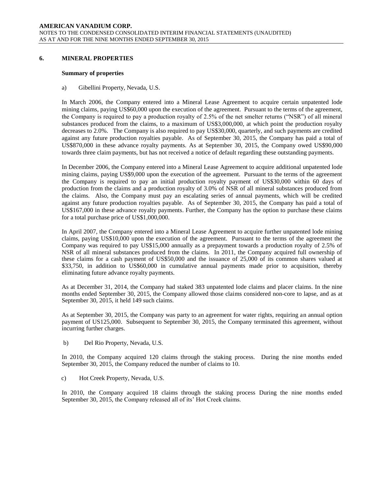#### **6. MINERAL PROPERTIES**

#### **Summary of properties**

a) Gibellini Property, Nevada, U.S.

In March 2006, the Company entered into a Mineral Lease Agreement to acquire certain unpatented lode mining claims, paying US\$60,000 upon the execution of the agreement. Pursuant to the terms of the agreement, the Company is required to pay a production royalty of 2.5% of the net smelter returns ("NSR") of all mineral substances produced from the claims, to a maximum of US\$3,000,000, at which point the production royalty decreases to 2.0%. The Company is also required to pay US\$30,000, quarterly, and such payments are credited against any future production royalties payable. As of September 30, 2015, the Company has paid a total of US\$870,000 in these advance royalty payments. As at September 30, 2015, the Company owed US\$90,000 towards three claim payments, but has not received a notice of default regarding these outstanding payments.

In December 2006, the Company entered into a Mineral Lease Agreement to acquire additional unpatented lode mining claims, paying US\$9,000 upon the execution of the agreement. Pursuant to the terms of the agreement the Company is required to pay an initial production royalty payment of US\$30,000 within 60 days of production from the claims and a production royalty of 3.0% of NSR of all mineral substances produced from the claims. Also, the Company must pay an escalating series of annual payments, which will be credited against any future production royalties payable. As of September 30, 2015, the Company has paid a total of US\$167,000 in these advance royalty payments. Further, the Company has the option to purchase these claims for a total purchase price of US\$1,000,000.

In April 2007, the Company entered into a Mineral Lease Agreement to acquire further unpatented lode mining claims, paying US\$10,000 upon the execution of the agreement. Pursuant to the terms of the agreement the Company was required to pay US\$15,000 annually as a prepayment towards a production royalty of 2.5% of NSR of all mineral substances produced from the claims. In 2011, the Company acquired full ownership of these claims for a cash payment of US\$50,000 and the issuance of 25,000 of its common shares valued at \$33,750, in addition to US\$60,000 in cumulative annual payments made prior to acquisition, thereby eliminating future advance royalty payments.

As at December 31, 2014, the Company had staked 383 unpatented lode claims and placer claims. In the nine months ended September 30, 2015, the Company allowed those claims considered non-core to lapse, and as at September 30, 2015, it held 149 such claims.

As at September 30, 2015, the Company was party to an agreement for water rights, requiring an annual option payment of US125,000. Subsequent to September 30, 2015, the Company terminated this agreement, without incurring further charges.

b) Del Rio Property, Nevada, U.S.

In 2010, the Company acquired 120 claims through the staking process. During the nine months ended September 30, 2015, the Company reduced the number of claims to 10.

c) Hot Creek Property, Nevada, U.S.

In 2010, the Company acquired 18 claims through the staking process During the nine months ended September 30, 2015, the Company released all of its' Hot Creek claims.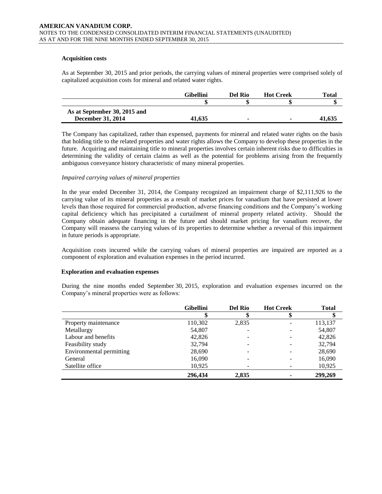#### **Acquisition costs**

As at September 30, 2015 and prior periods, the carrying values of mineral properties were comprised solely of capitalized acquisition costs for mineral and related water rights.

|                              | <b>Gibellini</b> | Del Rio | <b>Hot Creek</b> | Total  |
|------------------------------|------------------|---------|------------------|--------|
|                              |                  |         |                  |        |
| As at September 30, 2015 and |                  |         |                  |        |
| <b>December 31, 2014</b>     | 41.635           | -       |                  | 41.635 |

The Company has capitalized, rather than expensed, payments for mineral and related water rights on the basis that holding title to the related properties and water rights allows the Company to develop these properties in the future. Acquiring and maintaining title to mineral properties involves certain inherent risks due to difficulties in determining the validity of certain claims as well as the potential for problems arising from the frequently ambiguous conveyance history characteristic of many mineral properties.

#### *Impaired carrying values of mineral properties*

In the year ended December 31, 2014, the Company recognized an impairment charge of \$2,111,926 to the carrying value of its mineral properties as a result of market prices for vanadium that have persisted at lower levels than those required for commercial production, adverse financing conditions and the Company's working capital deficiency which has precipitated a curtailment of mineral property related activity. Should the Company obtain adequate financing in the future and should market pricing for vanadium recover, the Company will reassess the carrying values of its properties to determine whether a reversal of this impairment in future periods is appropriate.

Acquisition costs incurred while the carrying values of mineral properties are impaired are reported as a component of exploration and evaluation expenses in the period incurred.

#### **Exploration and evaluation expenses**

During the nine months ended September 30, 2015, exploration and evaluation expenses incurred on the Company's mineral properties were as follows:

|                          | <b>Gibellini</b> | <b>Del Rio</b> | <b>Hot Creek</b> | <b>Total</b> |
|--------------------------|------------------|----------------|------------------|--------------|
|                          |                  |                |                  | Ψ            |
| Property maintenance     | 110,302          | 2,835          |                  | 113,137      |
| Metallurgy               | 54,807           |                |                  | 54,807       |
| Labour and benefits      | 42,826           |                |                  | 42,826       |
| Feasibility study        | 32,794           |                |                  | 32,794       |
| Environmental permitting | 28,690           |                |                  | 28,690       |
| General                  | 16,090           |                |                  | 16,090       |
| Satellite office         | 10,925           |                |                  | 10,925       |
|                          | 296,434          | 2,835          |                  | 299,269      |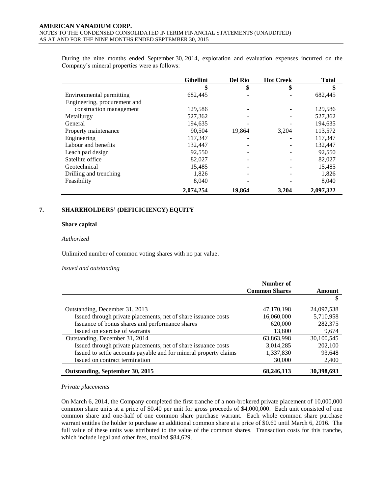During the nine months ended September 30, 2014, exploration and evaluation expenses incurred on the Company's mineral properties were as follows:

|                              | <b>Gibellini</b> | <b>Del Rio</b> | <b>Hot Creek</b> | <b>Total</b> |
|------------------------------|------------------|----------------|------------------|--------------|
|                              | \$               | Φ<br>Φ         | \$               | \$           |
| Environmental permitting     | 682,445          |                |                  | 682,445      |
| Engineering, procurement and |                  |                |                  |              |
| construction management      | 129,586          |                |                  | 129,586      |
| Metallurgy                   | 527,362          |                |                  | 527,362      |
| General                      | 194,635          |                |                  | 194,635      |
| Property maintenance         | 90.504           | 19.864         | 3,204            | 113,572      |
| Engineering                  | 117,347          |                |                  | 117,347      |
| Labour and benefits          | 132,447          |                |                  | 132,447      |
| Leach pad design             | 92,550           |                |                  | 92,550       |
| Satellite office             | 82,027           |                |                  | 82,027       |
| Geotechnical                 | 15,485           |                |                  | 15,485       |
| Drilling and trenching       | 1,826            |                |                  | 1,826        |
| Feasibility                  | 8,040            |                |                  | 8,040        |
|                              | 2,074,254        | 19.864         | 3,204            | 2,097,322    |

# **7. SHAREHOLDERS' (DEFICICIENCY) EQUITY**

#### **Share capital**

#### *Authorized*

Unlimited number of common voting shares with no par value.

#### *Issued and outstanding*

|                                                                   | Number of            |            |
|-------------------------------------------------------------------|----------------------|------------|
|                                                                   | <b>Common Shares</b> | Amount     |
|                                                                   |                      |            |
| Outstanding, December 31, 2013                                    | 47,170,198           | 24,097,538 |
| Issued through private placements, net of share issuance costs    | 16,060,000           | 5,710,958  |
| Issuance of bonus shares and performance shares                   | 620,000              | 282,375    |
| Issued on exercise of warrants                                    | 13,800               | 9,674      |
| Outstanding, December 31, 2014                                    | 63,863,998           | 30,100,545 |
| Issued through private placements, net of share issuance costs    | 3,014,285            | 202,100    |
| Issued to settle accounts payable and for mineral property claims | 1,337,830            | 93,648     |
| Issued on contract termination                                    | 30,000               | 2,400      |
| Outstanding, September 30, 2015                                   | 68,246,113           | 30,398,693 |

#### *Private placements*

On March 6, 2014, the Company completed the first tranche of a non-brokered private placement of 10,000,000 common share units at a price of \$0.40 per unit for gross proceeds of \$4,000,000. Each unit consisted of one common share and one-half of one common share purchase warrant. Each whole common share purchase warrant entitles the holder to purchase an additional common share at a price of \$0.60 until March 6, 2016. The full value of these units was attributed to the value of the common shares. Transaction costs for this tranche, which include legal and other fees, totalled \$84,629.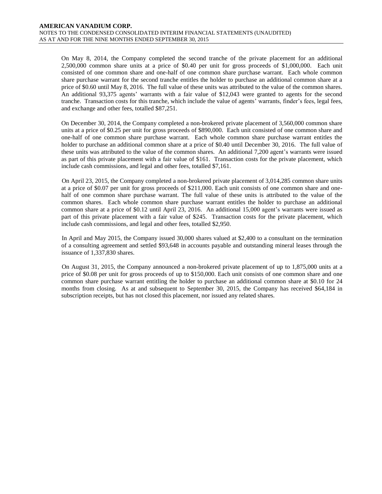On May 8, 2014, the Company completed the second tranche of the private placement for an additional 2,500,000 common share units at a price of \$0.40 per unit for gross proceeds of \$1,000,000. Each unit consisted of one common share and one-half of one common share purchase warrant. Each whole common share purchase warrant for the second tranche entitles the holder to purchase an additional common share at a price of \$0.60 until May 8, 2016. The full value of these units was attributed to the value of the common shares. An additional 93,375 agents' warrants with a fair value of \$12,043 were granted to agents for the second tranche. Transaction costs for this tranche, which include the value of agents' warrants, finder's fees, legal fees, and exchange and other fees, totalled \$87,251.

On December 30, 2014, the Company completed a non-brokered private placement of 3,560,000 common share units at a price of \$0.25 per unit for gross proceeds of \$890,000. Each unit consisted of one common share and one-half of one common share purchase warrant. Each whole common share purchase warrant entitles the holder to purchase an additional common share at a price of \$0.40 until December 30, 2016. The full value of these units was attributed to the value of the common shares. An additional 7,200 agent's warrants were issued as part of this private placement with a fair value of \$161. Transaction costs for the private placement, which include cash commissions, and legal and other fees, totalled \$7,161.

On April 23, 2015, the Company completed a non-brokered private placement of 3,014,285 common share units at a price of \$0.07 per unit for gross proceeds of \$211,000. Each unit consists of one common share and onehalf of one common share purchase warrant. The full value of these units is attributed to the value of the common shares. Each whole common share purchase warrant entitles the holder to purchase an additional common share at a price of \$0.12 until April 23, 2016. An additional 15,000 agent's warrants were issued as part of this private placement with a fair value of \$245. Transaction costs for the private placement, which include cash commissions, and legal and other fees, totalled \$2,950.

In April and May 2015, the Company issued 30,000 shares valued at \$2,400 to a consultant on the termination of a consulting agreement and settled \$93,648 in accounts payable and outstanding mineral leases through the issuance of 1,337,830 shares.

On August 31, 2015, the Company announced a non-brokered private placement of up to 1,875,000 units at a price of \$0.08 per unit for gross proceeds of up to \$150,000. Each unit consists of one common share and one common share purchase warrant entitling the holder to purchase an additional common share at \$0.10 for 24 months from closing. As at and subsequent to September 30, 2015, the Company has received \$64,184 in subscription receipts, but has not closed this placement, nor issued any related shares.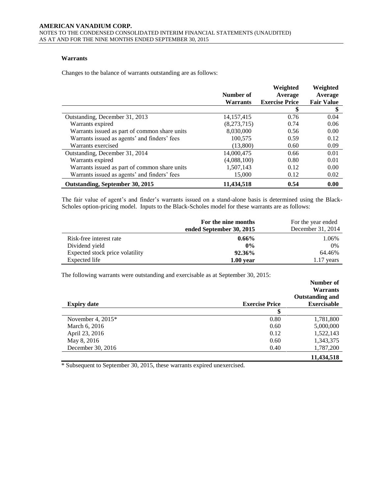# **Warrants**

Changes to the balance of warrants outstanding are as follows:

|                                               | Number of       | Weighted<br>Average   | Weighted<br>Average |
|-----------------------------------------------|-----------------|-----------------------|---------------------|
|                                               | <b>Warrants</b> | <b>Exercise Price</b> | <b>Fair Value</b>   |
|                                               |                 | S                     | \$                  |
| Outstanding, December 31, 2013                | 14, 157, 415    | 0.76                  | 0.04                |
| Warrants expired                              | (8,273,715)     | 0.74                  | 0.06                |
| Warrants issued as part of common share units | 8,030,000       | 0.56                  | 0.00                |
| Warrants issued as agents' and finders' fees  | 100.575         | 0.59                  | 0.12                |
| Warrants exercised                            | (13,800)        | 0.60                  | 0.09                |
| Outstanding, December 31, 2014                | 14,000,475      | 0.66                  | 0.01                |
| Warrants expired                              | (4,088,100)     | 0.80                  | 0.01                |
| Warrants issued as part of common share units | 1,507,143       | 0.12                  | 0.00                |
| Warrants issued as agents' and finders' fees  | 15,000          | 0.12                  | 0.02                |
| Outstanding, September 30, 2015               | 11,434,518      | 0.54                  | 0.00                |

The fair value of agent's and finder's warrants issued on a stand-alone basis is determined using the Black-Scholes option-pricing model. Inputs to the Black-Scholes model for these warrants are as follows:

|                                 | For the nine months<br>ended September 30, 2015 | For the year ended<br>December 31, 2014 |
|---------------------------------|-------------------------------------------------|-----------------------------------------|
| Risk-free interest rate         | $0.66\%$                                        | 1.06%                                   |
| Dividend yield                  | $0\%$                                           | $0\%$                                   |
| Expected stock price volatility | 92.36%                                          | 64.46%                                  |
| Expected life                   | $1.00$ vear                                     | $1.17$ years                            |

The following warrants were outstanding and exercisable as at September 30, 2015:

|                     |                       | Number of<br><b>Warrants</b><br><b>Outstanding and</b> |
|---------------------|-----------------------|--------------------------------------------------------|
| <b>Expiry date</b>  | <b>Exercise Price</b> | <b>Exercisable</b>                                     |
|                     |                       |                                                        |
| November 4, $2015*$ | 0.80                  | 1,781,800                                              |
| March 6, 2016       | 0.60                  | 5,000,000                                              |
| April 23, 2016      | 0.12                  | 1,522,143                                              |
| May 8, 2016         | 0.60                  | 1,343,375                                              |
| December 30, 2016   | 0.40                  | 1,787,200                                              |
|                     |                       | 11,434,518                                             |

\* Subsequent to September 30, 2015, these warrants expired unexercised.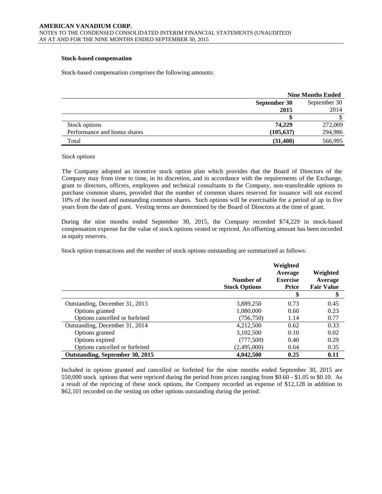#### **Stock-based compensation**

Stock-based compensation comprises the following amounts:

|                              | <b>Nine Months Ended</b>     |         |
|------------------------------|------------------------------|---------|
|                              | September 30<br>September 30 |         |
|                              | 2015                         | 2014    |
|                              |                              |         |
| Stock options                | 74,229                       | 272,009 |
| Performance and bonus shares | (105, 637)                   | 294,986 |
| Total                        | (31, 408)                    | 566,995 |

#### *Stock options*

The Company adopted an incentive stock option plan which provides that the Board of Directors of the Company may from time to time, in its discretion, and in accordance with the requirements of the Exchange, grant to directors, officers, employees and technical consultants to the Company, non-transferable options to purchase common shares, provided that the number of common shares reserved for issuance will not exceed 10% of the issued and outstanding common shares. Such options will be exercisable for a period of up to five years from the date of grant. Vesting terms are determined by the Board of Directors at the time of grant.

During the nine months ended September 30, 2015, the Company recorded \$74,229 in stock-based compensation expense for the value of stock options vested or repriced. An offsetting amount has been recorded in equity reserves.

Stock option transactions and the number of stock options outstanding are summarized as follows:

|                                 | Number of<br><b>Stock Options</b> | Weighted<br>Average<br><b>Exercise</b><br><b>Price</b> | Weighted<br>Average<br><b>Fair Value</b> |
|---------------------------------|-----------------------------------|--------------------------------------------------------|------------------------------------------|
|                                 |                                   | \$                                                     | \$                                       |
| Outstanding, December 31, 2013  | 3,889,250                         | 0.73                                                   | 0.45                                     |
| Options granted                 | 1,080,000                         | 0.60                                                   | 0.23                                     |
| Options cancelled or forfeited  | (756, 750)                        | 1.14                                                   | 0.77                                     |
| Outstanding, December 31, 2014  | 4,212,500                         | 0.62                                                   | 0.33                                     |
| Options granted                 | 3,102,500                         | 0.10                                                   | 0.02                                     |
| Options expired                 | (777,500)                         | 0.40                                                   | 0.29                                     |
| Options cancelled or forfeited  | (2,495,000)                       | 0.64                                                   | 0.35                                     |
| Outstanding, September 30, 2015 | 4,042,500                         | 0.25                                                   | 0.11                                     |

Included in options granted and cancelled or forfeited for the nine months ended September 30, 2015 are 550,000 stock options that were repriced during the period from prices ranging from \$0.60 - \$1.05 to \$0.10. As a result of the repricing of these stock options, the Company recorded an expense of \$12,128 in addition to \$62,101 recorded on the vesting on other options outstanding during the period.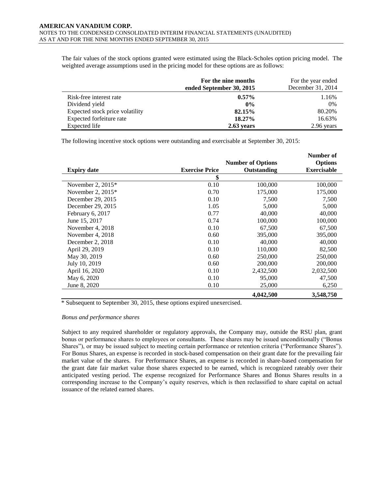The fair values of the stock options granted were estimated using the Black-Scholes option pricing model. The weighted average assumptions used in the pricing model for these options are as follows:

|                                 | For the nine months<br>ended September 30, 2015 | For the year ended<br>December 31, 2014 |
|---------------------------------|-------------------------------------------------|-----------------------------------------|
| Risk-free interest rate         | $0.57\%$                                        | 1.16%                                   |
| Dividend yield                  | $0\%$                                           | 0%                                      |
| Expected stock price volatility | 82.15%                                          | 80.20%                                  |
| Expected forfeiture rate        | 18.27%                                          | 16.63%                                  |
| Expected life                   | 2.63 years                                      | 2.96 years                              |

The following incentive stock options were outstanding and exercisable at September 30, 2015:

|                     |                       |                          | Number of          |
|---------------------|-----------------------|--------------------------|--------------------|
|                     |                       | <b>Number of Options</b> | <b>Options</b>     |
| <b>Expiry date</b>  | <b>Exercise Price</b> | Outstanding              | <b>Exercisable</b> |
|                     | \$                    |                          |                    |
| November 2, $2015*$ | 0.10                  | 100,000                  | 100,000            |
| November 2, $2015*$ | 0.70                  | 175,000                  | 175,000            |
| December 29, 2015   | 0.10                  | 7,500                    | 7,500              |
| December 29, 2015   | 1.05                  | 5,000                    | 5,000              |
| February 6, 2017    | 0.77                  | 40,000                   | 40,000             |
| June 15, 2017       | 0.74                  | 100,000                  | 100,000            |
| November 4, 2018    | 0.10                  | 67,500                   | 67,500             |
| November 4, 2018    | 0.60                  | 395,000                  | 395,000            |
| December 2, 2018    | 0.10                  | 40,000                   | 40,000             |
| April 29, 2019      | 0.10                  | 110,000                  | 82,500             |
| May 30, 2019        | 0.60                  | 250,000                  | 250,000            |
| July 10, 2019       | 0.60                  | 200,000                  | 200,000            |
| April 16, 2020      | 0.10                  | 2,432,500                | 2,032,500          |
| May 6, 2020         | 0.10                  | 95,000                   | 47,500             |
| June 8, 2020        | 0.10                  | 25,000                   | 6,250              |
|                     |                       | 4,042,500                | 3,548,750          |

\* Subsequent to September 30, 2015, these options expired unexercised.

#### *Bonus and performance shares*

Subject to any required shareholder or regulatory approvals, the Company may, outside the RSU plan, grant bonus or performance shares to employees or consultants. These shares may be issued unconditionally ("Bonus Shares"), or may be issued subject to meeting certain performance or retention criteria ("Performance Shares"). For Bonus Shares, an expense is recorded in stock-based compensation on their grant date for the prevailing fair market value of the shares. For Performance Shares, an expense is recorded in share-based compensation for the grant date fair market value those shares expected to be earned, which is recognized rateably over their anticipated vesting period. The expense recognized for Performance Shares and Bonus Shares results in a corresponding increase to the Company's equity reserves, which is then reclassified to share capital on actual issuance of the related earned shares.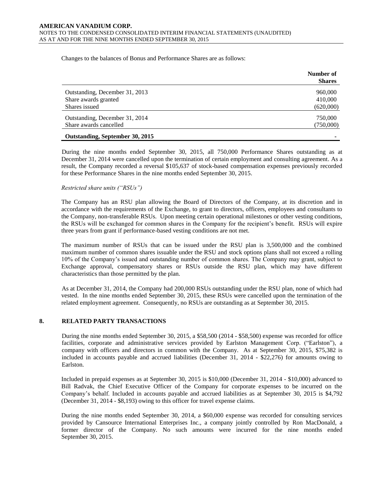Changes to the balances of Bonus and Performance Shares are as follows:

|                                | Number of<br><b>Shares</b> |
|--------------------------------|----------------------------|
| Outstanding, December 31, 2013 | 960,000                    |
| Share awards granted           | 410,000                    |
| Shares issued                  | (620,000)                  |
| Outstanding, December 31, 2014 | 750,000                    |
| Share awards cancelled         | (750,000)                  |

#### **Outstanding, September 30, 2015 -**

During the nine months ended September 30, 2015, all 750,000 Performance Shares outstanding as at December 31, 2014 were cancelled upon the termination of certain employment and consulting agreement. As a result, the Company recorded a reversal \$105,637 of stock-based compensation expenses previously recorded for these Performance Shares in the nine months ended September 30, 2015.

# *Restricted share units ("RSUs")*

The Company has an RSU plan allowing the Board of Directors of the Company, at its discretion and in accordance with the requirements of the Exchange, to grant to directors, officers, employees and consultants to the Company, non-transferable RSUs. Upon meeting certain operational milestones or other vesting conditions, the RSUs will be exchanged for common shares in the Company for the recipient's benefit. RSUs will expire three years from grant if performance-based vesting conditions are not met.

The maximum number of RSUs that can be issued under the RSU plan is 3,500,000 and the combined maximum number of common shares issuable under the RSU and stock options plans shall not exceed a rolling 10% of the Company's issued and outstanding number of common shares. The Company may grant, subject to Exchange approval, compensatory shares or RSUs outside the RSU plan, which may have different characteristics than those permitted by the plan.

As at December 31, 2014, the Company had 200,000 RSUs outstanding under the RSU plan, none of which had vested. In the nine months ended September 30, 2015, these RSUs were cancelled upon the termination of the related employment agreement. Consequently, no RSUs are outstanding as at September 30, 2015.

# **8. RELATED PARTY TRANSACTIONS**

During the nine months ended September 30, 2015, a \$58,500 (2014 - \$58,500) expense was recorded for office facilities, corporate and administrative services provided by Earlston Management Corp. ("Earlston"), a company with officers and directors in common with the Company. As at September 30, 2015, \$75,382 is included in accounts payable and accrued liabilities (December 31, 2014 - \$22,276) for amounts owing to Earlston.

Included in prepaid expenses as at September 30, 2015 is \$10,000 (December 31, 2014 - \$10,000) advanced to Bill Radvak, the Chief Executive Officer of the Company for corporate expenses to be incurred on the Company's behalf. Included in accounts payable and accrued liabilities as at September 30, 2015 is \$4,792 (December 31, 2014 - \$8,193) owing to this officer for travel expense claims.

During the nine months ended September 30, 2014, a \$60,000 expense was recorded for consulting services provided by Cansource International Enterprises Inc., a company jointly controlled by Ron MacDonald, a former director of the Company. No such amounts were incurred for the nine months ended September 30, 2015.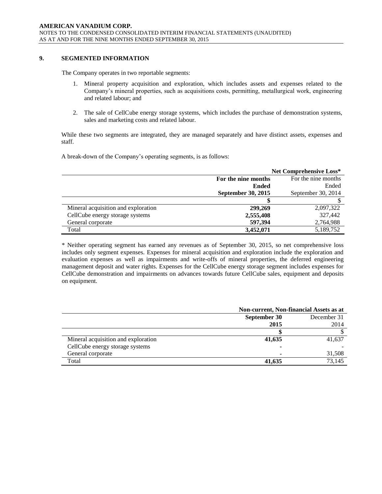# **9. SEGMENTED INFORMATION**

The Company operates in two reportable segments:

- 1. Mineral property acquisition and exploration, which includes assets and expenses related to the Company's mineral properties, such as acquisitions costs, permitting, metallurgical work, engineering and related labour; and
- 2. The sale of CellCube energy storage systems, which includes the purchase of demonstration systems, sales and marketing costs and related labour.

While these two segments are integrated, they are managed separately and have distinct assets, expenses and staff.

A break-down of the Company's operating segments, is as follows:

|                                     | <b>Net Comprehensive Loss*</b>             |                    |  |
|-------------------------------------|--------------------------------------------|--------------------|--|
|                                     | For the nine months<br>For the nine months |                    |  |
|                                     | <b>Ended</b>                               | Ended              |  |
|                                     | September 30, 2015                         | September 30, 2014 |  |
|                                     |                                            |                    |  |
| Mineral acquisition and exploration | 299,269                                    | 2,097,322          |  |
| CellCube energy storage systems     | 2,555,408                                  | 327,442            |  |
| General corporate                   | 597,394                                    | 2,764,988          |  |
| Total                               | 3.452,071                                  | 5,189,752          |  |

\* Neither operating segment has earned any revenues as of September 30, 2015, so net comprehensive loss includes only segment expenses. Expenses for mineral acquisition and exploration include the exploration and evaluation expenses as well as impairments and write-offs of mineral properties, the deferred engineering management deposit and water rights. Expenses for the CellCube energy storage segment includes expenses for CellCube demonstration and impairments on advances towards future CellCube sales, equipment and deposits on equipment.

|                                     | Non-current, Non-financial Assets as at |             |  |
|-------------------------------------|-----------------------------------------|-------------|--|
|                                     | September 30                            | December 31 |  |
|                                     | 2015                                    | 2014        |  |
|                                     |                                         |             |  |
| Mineral acquisition and exploration | 41,635                                  | 41,637      |  |
| CellCube energy storage systems     | ۰                                       |             |  |
| General corporate                   | ۰                                       | 31,508      |  |
| Total                               | 41,635                                  | 73.145      |  |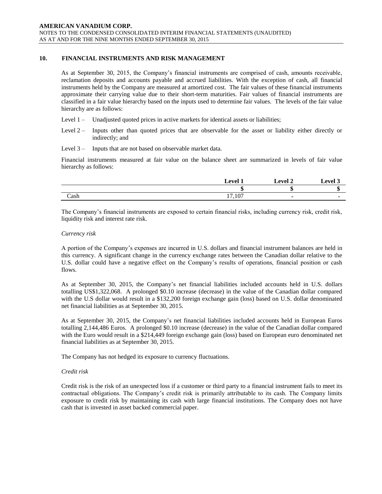# **10. FINANCIAL INSTRUMENTS AND RISK MANAGEMENT**

As at September 30, 2015, the Company's financial instruments are comprised of cash, amounts receivable, reclamation deposits and accounts payable and accrued liabilities. With the exception of cash, all financial instruments held by the Company are measured at amortized cost. The fair values of these financial instruments approximate their carrying value due to their short-term maturities. Fair values of financial instruments are classified in a fair value hierarchy based on the inputs used to determine fair values. The levels of the fair value hierarchy are as follows:

- Level 1 Unadjusted quoted prices in active markets for identical assets or liabilities;
- Level 2 Inputs other than quoted prices that are observable for the asset or liability either directly or indirectly; and
- Level 3 Inputs that are not based on observable market data.

Financial instruments measured at fair value on the balance sheet are summarized in levels of fair value hierarchy as follows:

|      | Level 1         | <b>Level 2</b> | $\mathbf{L}$ evel $\degree$ |
|------|-----------------|----------------|-----------------------------|
|      | ш               | ΝЭ             |                             |
| Cash | 17.107<br>، U J |                |                             |

The Company's financial instruments are exposed to certain financial risks, including currency risk, credit risk, liquidity risk and interest rate risk.

# *Currency risk*

A portion of the Company's expenses are incurred in U.S. dollars and financial instrument balances are held in this currency. A significant change in the currency exchange rates between the Canadian dollar relative to the U.S. dollar could have a negative effect on the Company's results of operations, financial position or cash flows.

As at September 30, 2015, the Company's net financial liabilities included accounts held in U.S. dollars totalling US\$1,322,068. A prolonged \$0.10 increase (decrease) in the value of the Canadian dollar compared with the U.S dollar would result in a \$132,200 foreign exchange gain (loss) based on U.S. dollar denominated net financial liabilities as at September 30, 2015.

As at September 30, 2015, the Company's net financial liabilities included accounts held in European Euros totalling 2,144,486 Euros. A prolonged \$0.10 increase (decrease) in the value of the Canadian dollar compared with the Euro would result in a \$214,449 foreign exchange gain (loss) based on European euro denominated net financial liabilities as at September 30, 2015.

The Company has not hedged its exposure to currency fluctuations.

# *Credit risk*

Credit risk is the risk of an unexpected loss if a customer or third party to a financial instrument fails to meet its contractual obligations. The Company's credit risk is primarily attributable to its cash. The Company limits exposure to credit risk by maintaining its cash with large financial institutions. The Company does not have cash that is invested in asset backed commercial paper.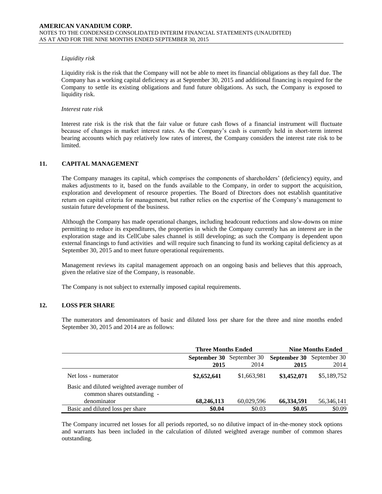#### *Liquidity risk*

Liquidity risk is the risk that the Company will not be able to meet its financial obligations as they fall due. The Company has a working capital deficiency as at September 30, 2015 and additional financing is required for the Company to settle its existing obligations and fund future obligations. As such, the Company is exposed to liquidity risk.

#### *Interest rate risk*

Interest rate risk is the risk that the fair value or future cash flows of a financial instrument will fluctuate because of changes in market interest rates. As the Company's cash is currently held in short-term interest bearing accounts which pay relatively low rates of interest, the Company considers the interest rate risk to be limited.

# **11. CAPITAL MANAGEMENT**

The Company manages its capital, which comprises the components of shareholders' (deficiency) equity, and makes adjustments to it, based on the funds available to the Company, in order to support the acquisition, exploration and development of resource properties. The Board of Directors does not establish quantitative return on capital criteria for management, but rather relies on the expertise of the Company's management to sustain future development of the business.

Although the Company has made operational changes, including headcount reductions and slow-downs on mine permitting to reduce its expenditures, the properties in which the Company currently has an interest are in the exploration stage and its CellCube sales channel is still developing; as such the Company is dependent upon external financings to fund activities and will require such financing to fund its working capital deficiency as at September 30, 2015 and to meet future operational requirements.

Management reviews its capital management approach on an ongoing basis and believes that this approach, given the relative size of the Company, is reasonable.

The Company is not subject to externally imposed capital requirements.

# **12. LOSS PER SHARE**

The numerators and denominators of basic and diluted loss per share for the three and nine months ended September 30, 2015 and 2014 are as follows:

|                                                                             | <b>Three Months Ended</b>        |             |                                  | <b>Nine Months Ended</b> |
|-----------------------------------------------------------------------------|----------------------------------|-------------|----------------------------------|--------------------------|
|                                                                             | <b>September 30</b> September 30 |             | <b>September 30</b> September 30 |                          |
|                                                                             | 2015                             | 2014        | 2015                             | 2014                     |
| Net loss - numerator                                                        | \$2,652,641                      | \$1,663,981 | \$3,452,071                      | \$5,189,752              |
| Basic and diluted weighted average number of<br>common shares outstanding - |                                  |             |                                  |                          |
| denominator                                                                 | 68,246,113                       | 60,029,596  | 66,334,591                       | 56, 346, 141             |
| Basic and diluted loss per share                                            | \$0.04                           | \$0.03      | \$0.05                           | \$0.09                   |

The Company incurred net losses for all periods reported, so no dilutive impact of in-the-money stock options and warrants has been included in the calculation of diluted weighted average number of common shares outstanding.